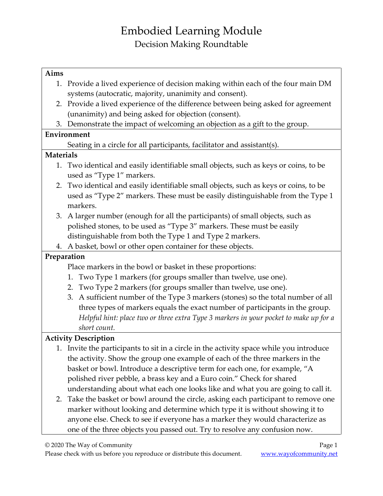#### **Aims**

- 1. Provide a lived experience of decision making within each of the four main DM systems (autocratic, majority, unanimity and consent).
- 2. Provide a lived experience of the difference between being asked for agreement (unanimity) and being asked for objection (consent).
- 3. Demonstrate the impact of welcoming an objection as a gift to the group.

### **Environment**

Seating in a circle for all participants, facilitator and assistant(s).

### **Materials**

- 1. Two identical and easily identifiable small objects, such as keys or coins, to be used as "Type 1" markers.
- 2. Two identical and easily identifiable small objects, such as keys or coins, to be used as "Type 2" markers. These must be easily distinguishable from the Type 1 markers.
- 3. A larger number (enough for all the participants) of small objects, such as polished stones, to be used as "Type 3" markers. These must be easily distinguishable from both the Type 1 and Type 2 markers.
- 4. A basket, bowl or other open container for these objects.

## **Preparation**

Place markers in the bowl or basket in these proportions:

- 1. Two Type 1 markers (for groups smaller than twelve, use one).
- 2. Two Type 2 markers (for groups smaller than twelve, use one).
- 3. A sufficient number of the Type 3 markers (stones) so the total number of all three types of markers equals the exact number of participants in the group. *Helpful hint: place two or three extra Type 3 markers in your pocket to make up for a short count.*

## **Activity Description**

- 1. Invite the participants to sit in a circle in the activity space while you introduce the activity. Show the group one example of each of the three markers in the basket or bowl. Introduce a descriptive term for each one, for example, "A polished river pebble, a brass key and a Euro coin." Check for shared understanding about what each one looks like and what you are going to call it.
- 2. Take the basket or bowl around the circle, asking each participant to remove one marker without looking and determine which type it is without showing it to anyone else. Check to see if everyone has a marker they would characterize as one of the three objects you passed out. Try to resolve any confusion now.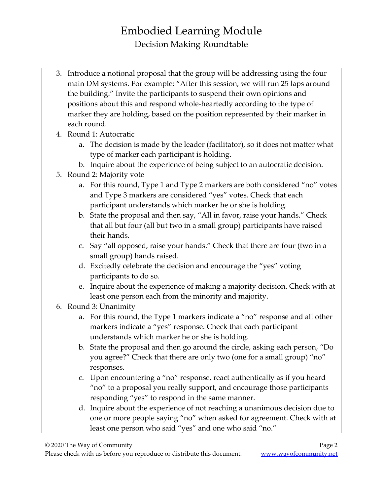- 3. Introduce a notional proposal that the group will be addressing using the four main DM systems. For example: "After this session, we will run 25 laps around the building." Invite the participants to suspend their own opinions and positions about this and respond whole-heartedly according to the type of marker they are holding, based on the position represented by their marker in each round.
- 4. Round 1: Autocratic
	- a. The decision is made by the leader (facilitator), so it does not matter what type of marker each participant is holding.
	- b. Inquire about the experience of being subject to an autocratic decision.
- 5. Round 2: Majority vote
	- a. For this round, Type 1 and Type 2 markers are both considered "no" votes and Type 3 markers are considered "yes" votes. Check that each participant understands which marker he or she is holding.
	- b. State the proposal and then say, "All in favor, raise your hands." Check that all but four (all but two in a small group) participants have raised their hands.
	- c. Say "all opposed, raise your hands." Check that there are four (two in a small group) hands raised.
	- d. Excitedly celebrate the decision and encourage the "yes" voting participants to do so.
	- e. Inquire about the experience of making a majority decision. Check with at least one person each from the minority and majority.
- 6. Round 3: Unanimity
	- a. For this round, the Type 1 markers indicate a "no" response and all other markers indicate a "yes" response. Check that each participant understands which marker he or she is holding.
	- b. State the proposal and then go around the circle, asking each person, "Do you agree?" Check that there are only two (one for a small group) "no" responses.
	- c. Upon encountering a "no" response, react authentically as if you heard "no" to a proposal you really support, and encourage those participants responding "yes" to respond in the same manner.
	- d. Inquire about the experience of not reaching a unanimous decision due to one or more people saying "no" when asked for agreement. Check with at least one person who said "yes" and one who said "no."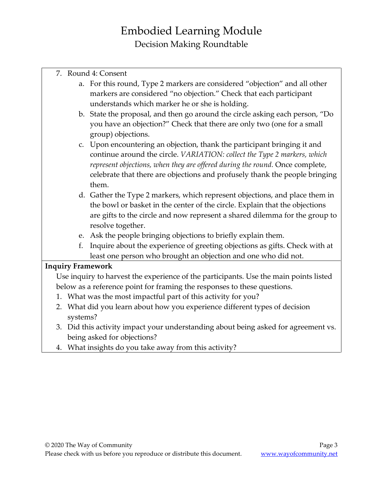| 7. Round 4: Consent |
|---------------------|
|                     |

- a. For this round, Type 2 markers are considered "objection" and all other markers are considered "no objection." Check that each participant understands which marker he or she is holding.
- b. State the proposal, and then go around the circle asking each person, "Do you have an objection?" Check that there are only two (one for a small group) objections.
- c. Upon encountering an objection, thank the participant bringing it and continue around the circle. *VARIATION: collect the Type 2 markers, which represent objections, when they are offered during the round.* Once complete, celebrate that there are objections and profusely thank the people bringing them.
- d. Gather the Type 2 markers, which represent objections, and place them in the bowl or basket in the center of the circle. Explain that the objections are gifts to the circle and now represent a shared dilemma for the group to resolve together.
- e. Ask the people bringing objections to briefly explain them.
- f. Inquire about the experience of greeting objections as gifts. Check with at least one person who brought an objection and one who did not.

#### **Inquiry Framework**

Use inquiry to harvest the experience of the participants. Use the main points listed below as a reference point for framing the responses to these questions.

- 1. What was the most impactful part of this activity for you?
- 2. What did you learn about how you experience different types of decision systems?
- 3. Did this activity impact your understanding about being asked for agreement vs. being asked for objections?
- 4. What insights do you take away from this activity?